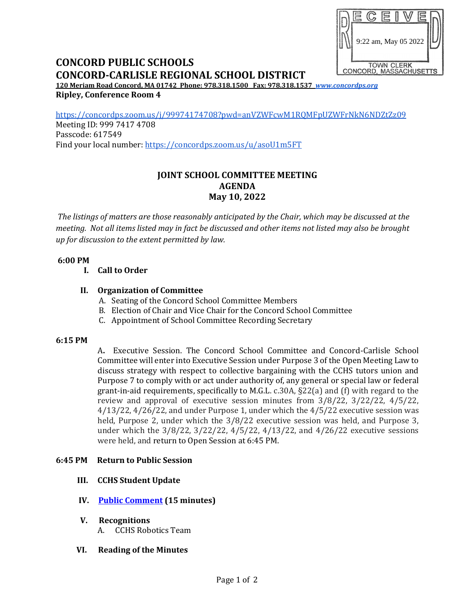

# **CONCORD PUBLIC SCHOOLS CONCORD-CARLISLE REGIONAL SCHOOL DISTRICT**

**120 Meriam Road Concord, MA 01742 Phone: 978.318.1500 Fax: 978.318.1537** *[www.concordps.org](http://www.concordps.org/)* **Ripley, Conference Room 4**

<https://concordps.zoom.us/j/99974174708?pwd=anVZWFcwM1RQMFpUZWFrNkN6NDZtZz09> Meeting ID: 999 7417 4708 Passcode: 617549

Find your local number:<https://concordps.zoom.us/u/asoU1m5FT>

## **JOINT SCHOOL COMMITTEE MEETING AGENDA May 10, 2022**

*The listings of matters are those reasonably anticipated by the Chair, which may be discussed at the meeting. Not all items listed may in fact be discussed and other items not listed may also be brought up for discussion to the extent permitted by law.*

#### **6:00 PM**

**I. Call to Order**

## **II. Organization of Committee**

- A. Seating of the Concord School Committee Members
- B. Election of Chair and Vice Chair for the Concord School Committee
- C. Appointment of School Committee Recording Secretary

#### **6:15 PM**

A**.** Executive Session. The Concord School Committee and Concord-Carlisle School Committee will enter into Executive Session under Purpose 3 of the Open Meeting Law to discuss strategy with respect to collective bargaining with the CCHS tutors union and Purpose 7 to comply with or act under authority of, any general or special law or federal grant-in-aid requirements, specifically to M.G.L. c.30A, §22(a) and (f) with regard to the review and approval of executive session minutes from 3/8/22, 3/22/22, 4/5/22, 4/13/22, 4/26/22, and under Purpose 1, under which the 4/5/22 executive session was held, Purpose 2, under which the 3/8/22 executive session was held, and Purpose 3, under which the 3/8/22, 3/22/22, 4/5/22, 4/13/22, and 4/26/22 executive sessions were held, and return to Open Session at 6:45 PM.

#### **6:45 PM Return to Public Session**

- **III. CCHS Student Update**
- **IV. [Public Comment](https://www.concordps.org/wp-content/uploads/2022/04/SCHOOL-COMMITTEE-MEETINGS.pdf) (15 minutes)**
- **V. Recognitions**
	- A. CCHS Robotics Team
- **VI. Reading of the Minutes**